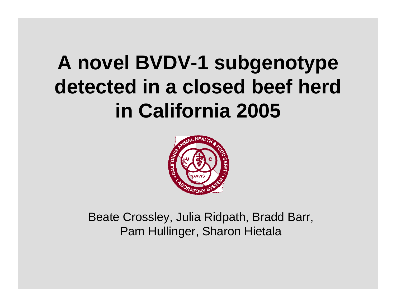## **A novel BVDV-1 subgenotype detected in a closed beef herd in California 2005**



Beate Crossley, Julia Ridpath, Bradd Barr, Pam Hullinger, Sharon Hietala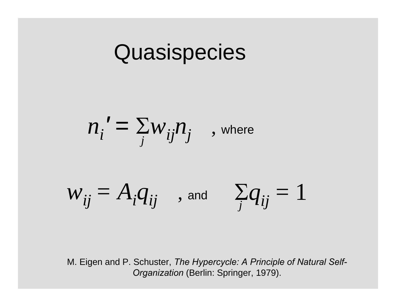## **Quasispecies**

$$
n_i' = \sum_j w_{ij} n_j \quad , \text{ where}
$$
  

$$
w_{ij} = A_i q_{ij} \quad , \text{ and } \quad \sum_j q_{ij} = 1
$$

M. Eigen and P. Schuster, *The Hypercycle: A Principle of Natural Self-Organization* (Berlin: Springer, 1979).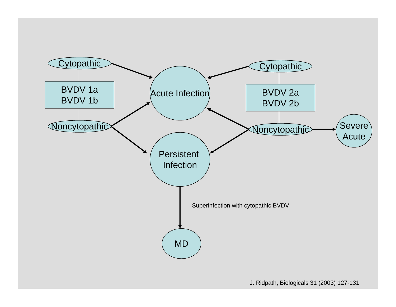

J. Ridpath, Biologicals 31 (2003) 127-131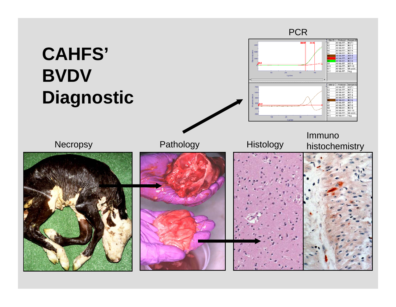### **CAHFS' BVDV Diagnostic**

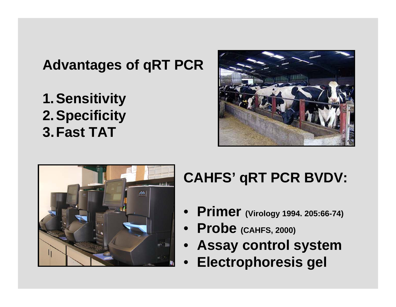#### **Advantages of qRT PCR**

**1.Sensitivity 2.Specificity 3.Fast TAT**





#### **CAHFS' qRT PCR BVDV:**

- **Primer (Virology 1994. 205:66-74)**
- **Probe (CAHFS, 2000)**
- **Assay control system**
- •**Electrophoresis gel**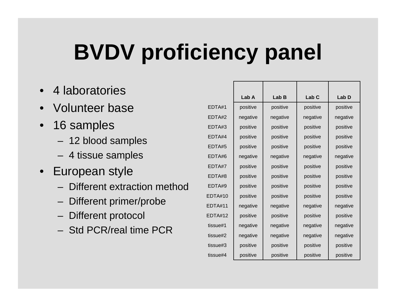## **BVDV proficiency panel**

- 4 laboratories
- •Volunteer base
- 16 samples
	- 12 blood samples
	- 4 tissue sam ples
- European style
	- –Different extraction method
	- Different primer/probe
	- Different protocol
	- –Std PCR/real time PCR

|                | Lab A    | Lab B    | Lab <sub>C</sub> | Lab D    |
|----------------|----------|----------|------------------|----------|
| EDTA#1         | positive | positive | positive         | positive |
| EDTA#2         | negative | negative | negative         | negative |
| EDTA#3         | positive | positive | positive         | positive |
| EDTA#4         | positive | positive | positive         | positive |
| EDTA#5         | positive | positive | positive         | positive |
| EDTA#6         | negative | negative | negative         | negative |
| EDTA#7         | positive | positive | positive         | positive |
| EDTA#8         | positive | positive | positive         | positive |
| EDTA#9         | positive | positive | positive         | positive |
| <b>EDTA#10</b> | positive | positive | positive         | positive |
| <b>EDTA#11</b> | negative | negative | negative         | negative |
| <b>EDTA#12</b> | positive | positive | positive         | positive |
| tissue#1       | negative | negative | negative         | negative |
| tissue#2       | negative | negative | negative         | negative |
| tissue#3       | positive | positive | positive         | positive |
| tissue#4       | positive | positive | positive         | positive |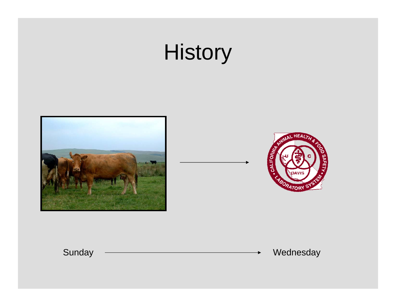## **History**





Sunday Wednesday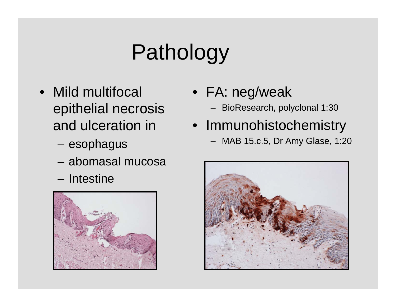# Pathology

- Mild multifocal epithelial necrosis and ulceration in
	- esophagus
	- abomasal mucosa
	- Intestine



- FA: neg/weak
	- BioResearch, polyclonal 1:30
- Immunohistochemistry
	- MAB 15.c.5, Dr Amy Glase, 1:20

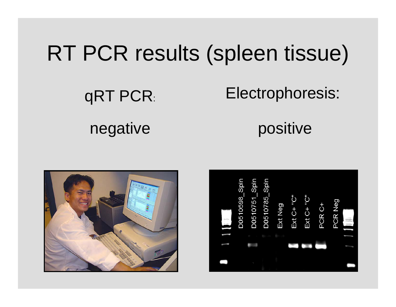## RT PCR results (spleen tissue)

qRT PCR

#### Electrophoresis: :

#### negative positive



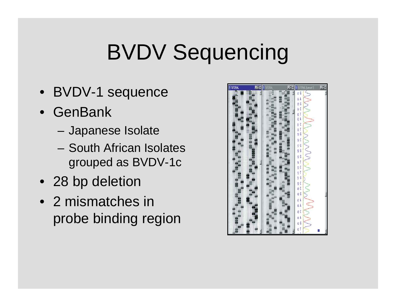## BVDV Sequencing

- BVDV-1 sequence
- •GenBank
	- Japanese Isolate
	- –South African Isolates grouped as BVDV-1c
- 28 bp deletion
- •2 mismatches in probe binding region

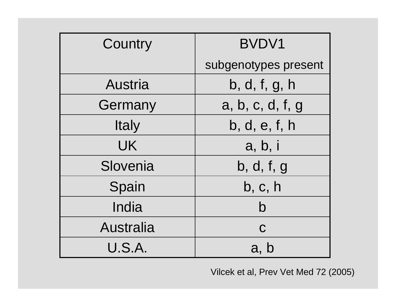| Country          | <b>BVDV1</b>         |  |
|------------------|----------------------|--|
|                  | subgenotypes present |  |
| Austria          | b, d, f, g, h        |  |
| Germany          | a, b, c, d, f, g     |  |
| <b>Italy</b>     | b, d, e, f, h        |  |
| UK               | a, b, i              |  |
| Slovenia         | b, d, f, g           |  |
| Spain            | b, c, h              |  |
| India            | b                    |  |
| <b>Australia</b> | $\mathbf C$          |  |
| U.S.A.           | a, b                 |  |

Vilcek et al, Prev Vet Med 72 (2005)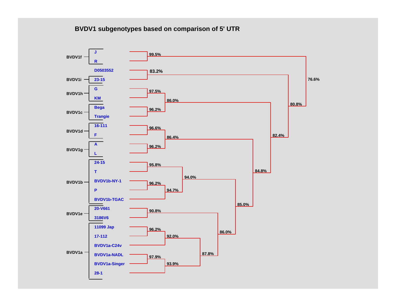#### **BVDV1 subgenotypes based on comparison of 5' UTR**

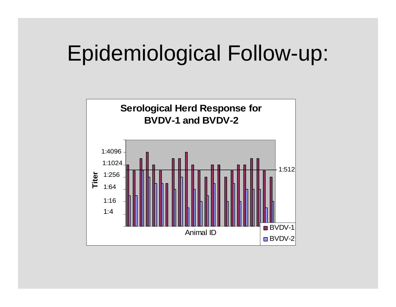## Epidemiological Follow-up:

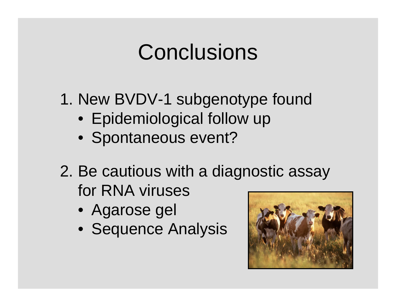## Conclusions

1. New BVDV-1 subgenotype found

- Epidemiological follow up
- Spontaneous event?
- 2. Be cautious with a diagnostic assay for RNA viruses
	- Agarose gel
	- Sequence Analysis